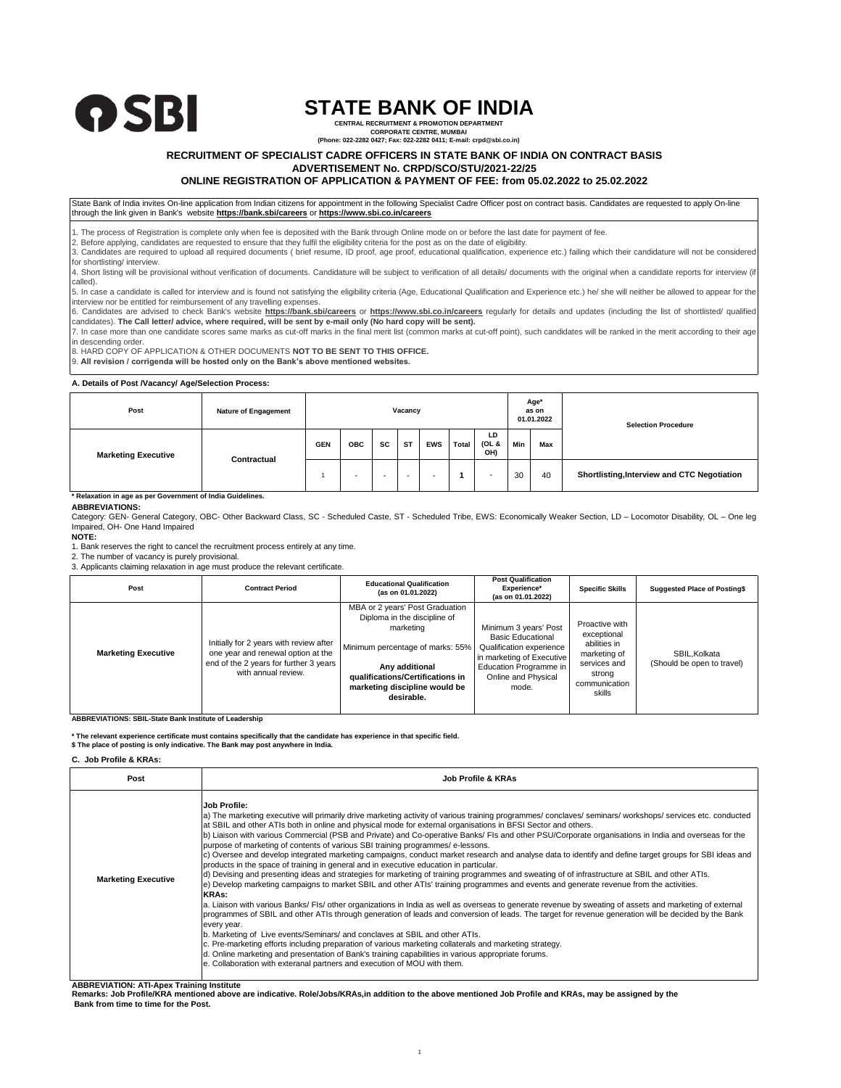

# **STATE BANK OF INDIA**

**CENTRAL RECRUITMENT & PROMOTION DEPARTMENT CORPORATE CENTRE, MUMBAI (Phone: 022-2282 0427; Fax: 022-2282 0411; E-mail: crpd@sbi.co.in)**

## **RECRUITMENT OF SPECIALIST CADRE OFFICERS IN STATE BANK OF INDIA ON CONTRACT BASIS**

**ADVERTISEMENT No. CRPD/SCO/STU/2021-22/25**

## **ONLINE REGISTRATION OF APPLICATION & PAYMENT OF FEE: from 05.02.2022 to 25.02.2022**

State Bank of India invites On-line application from Indian citizens for appointment in the following Specialist Cadre Officer post on contract basis. Candidates are requested to apply On-line through the link given in Bank's website **https://bank.sbi/careers** or **https://www.sbi.co.in/careers**

1. The process of Registration is complete only when fee is deposited with the Bank through Online mode on or before the last date for payment of fee. 2. Before applying, candidates are requested to ensure that they fulfil the eligibility criteria for the post as on the date of eligibility.

3. Candidates are required to upload all required documents ( brief resume, ID proof, age proof, educational qualification, experience etc.) failing which their candidature will not be considere for shortlisting/ interview.

4. Short listing will be provisional without verification of documents. Candidature will be subject to verification of all details/ documents with the original when a candidate reports for interview (if called).

5. In case a candidate is called for interview and is found not satisfying the eligibility criteria (Age, Educational Qualification and Experience etc.) he/ she will neither be allowed to appear for the interview nor be entitled for reimbursement of any travelling expenses.

6. Candidates are advised to check Bank's website **https://bank.sbi/careers** or **https://www.sbi.co.in/careers** regularly for details and updates (including the list of shortlisted/ qualified candidates). **The Call letter/ advice, where required, will be sent by e-mail only (No hard copy will be sent).**

7. In case more than one candidate scores same marks as cut-off marks in the final merit list (common marks at cut-off point), such candidates will be ranked in the merit according to their age in descending order.

8. HARD COPY OF APPLICATION & OTHER DOCUMENTS **NOT TO BE SENT TO THIS OFFICE.**

9. **All revision / corrigenda will be hosted only on the Bank's above mentioned websites.**

#### **A. Details of Post /Vacancy/ Age/Selection Process:**

| Post                                                       | <b>Nature of Engagement</b> | Vacancy    |            |    |                          |            |       |                          | Age*<br>as on<br>01.01.2022 | <b>Selection Procedure</b> |                                             |
|------------------------------------------------------------|-----------------------------|------------|------------|----|--------------------------|------------|-------|--------------------------|-----------------------------|----------------------------|---------------------------------------------|
| <b>Marketing Executive</b>                                 | Contractual                 | <b>GEN</b> | <b>OBC</b> | SC | <b>ST</b>                | <b>EWS</b> | Total | LD<br>(OL &<br>OH)       | Min                         | Max                        |                                             |
|                                                            |                             |            | -          |    | $\overline{\phantom{a}}$ |            |       | $\overline{\phantom{a}}$ | 30                          | 40                         | Shortlisting, Interview and CTC Negotiation |
| * Relaxation in age as per Government of India Guidelines. |                             |            |            |    |                          |            |       |                          |                             |                            |                                             |

**ABBREVIATIONS:**

Category: GEN- General Category, OBC- Other Backward Class, SC - Scheduled Caste, ST - Scheduled Tribe, EWS: Economically Weaker Section, LD – Locomotor Disability, OL – One leg Impaired, OH- One Hand Impaired

**NOTE:**

1. Bank reserves the right to cancel the recruitment process entirely at any time.

2. The number of vacancy is purely provisional.

3. Applicants claiming relaxation in age must produce the relevant certificate.

| Post                       | <b>Contract Period</b>                                                                                                                         | <b>Educational Qualification</b><br>(as on 01.01.2022)                                                                                                                                                                | <b>Post Qualification</b><br>Experience*<br>(as on 01.01.2022)                                                                                                       | <b>Specific Skills</b>                                                                                             | <b>Suggested Place of Posting\$</b>        |
|----------------------------|------------------------------------------------------------------------------------------------------------------------------------------------|-----------------------------------------------------------------------------------------------------------------------------------------------------------------------------------------------------------------------|----------------------------------------------------------------------------------------------------------------------------------------------------------------------|--------------------------------------------------------------------------------------------------------------------|--------------------------------------------|
| <b>Marketing Executive</b> | Initially for 2 years with review after<br>one year and renewal option at the<br>end of the 2 years for further 3 years<br>with annual review. | MBA or 2 years' Post Graduation<br>Diploma in the discipline of<br>marketing<br>Minimum percentage of marks: 55%<br>Any additional<br>qualifications/Certifications in<br>marketing discipline would be<br>desirable. | Minimum 3 years' Post<br><b>Basic Educational</b><br>Qualification experience<br>in marketing of Executive<br>Education Programme in<br>Online and Physical<br>mode. | Proactive with<br>exceptional<br>abilities in<br>marketing of<br>services and<br>strong<br>communication<br>skills | SBIL.Kolkata<br>(Should be open to travel) |

**ABBREVIATIONS: SBIL-State Bank Institute of Leadership**

**\* The relevant experience certificate must contains specifically that the candidate has experience in that specific field.**

**\$ The place of posting is only indicative. The Bank may post anywhere in India.**

#### **C. Job Profile & KRAs:**

| Post                       | <b>Job Profile &amp; KRAs</b>                                                                                                                                                                                                                                                                                                                                                                                                                                                                                                                                                                                                                                                                                                                                                                                                                                                                                                                                                                                                                                                                                                                                                                                                                                                                                                                                                                                                                                                                                                                                                                                                                                                                                                                                                                                        |  |  |  |  |  |
|----------------------------|----------------------------------------------------------------------------------------------------------------------------------------------------------------------------------------------------------------------------------------------------------------------------------------------------------------------------------------------------------------------------------------------------------------------------------------------------------------------------------------------------------------------------------------------------------------------------------------------------------------------------------------------------------------------------------------------------------------------------------------------------------------------------------------------------------------------------------------------------------------------------------------------------------------------------------------------------------------------------------------------------------------------------------------------------------------------------------------------------------------------------------------------------------------------------------------------------------------------------------------------------------------------------------------------------------------------------------------------------------------------------------------------------------------------------------------------------------------------------------------------------------------------------------------------------------------------------------------------------------------------------------------------------------------------------------------------------------------------------------------------------------------------------------------------------------------------|--|--|--|--|--|
| <b>Marketing Executive</b> | Job Profile:<br>a) The marketing executive will primarily drive marketing activity of various training programmes/ conclaves/ seminars/ workshops/ services etc. conducted<br>at SBIL and other ATIs both in online and physical mode for external organisations in BFSI Sector and others.<br>b) Liaison with various Commercial (PSB and Private) and Co-operative Banks/ FIs and other PSU/Corporate organisations in India and overseas for the<br>purpose of marketing of contents of various SBI training programmes/e-lessons.<br>c) Oversee and develop integrated marketing campaigns, conduct market research and analyse data to identify and define target groups for SBI ideas and<br>products in the space of training in general and in executive education in particular.<br>d) Devising and presenting ideas and strategies for marketing of training programmes and sweating of of infrastructure at SBIL and other ATIs.<br>e) Develop marketing campaigns to market SBIL and other ATIs' training programmes and events and generate revenue from the activities.<br><b>KRAs:</b><br>a. Liaison with various Banks/FIs/ other organizations in India as well as overseas to generate revenue by sweating of assets and marketing of external<br>programmes of SBIL and other ATIs through generation of leads and conversion of leads. The target for revenue generation will be decided by the Bank<br>every year.<br>b. Marketing of Live events/Seminars/ and conclaves at SBIL and other ATIs.<br>c. Pre-marketing efforts including preparation of various marketing collaterals and marketing strategy.<br>d. Online marketing and presentation of Bank's training capabilities in various appropriate forums.<br>e. Collaboration with exteranal partners and execution of MOU with them. |  |  |  |  |  |

**ABBREVIATION: ATI-Apex Training Institute**

**Remarks: Job Profile/KRA mentioned above are indicative. Role/Jobs/KRAs,in addition to the above mentioned Job Profile and KRAs, may be assigned by the Bank from time to time for the Post.**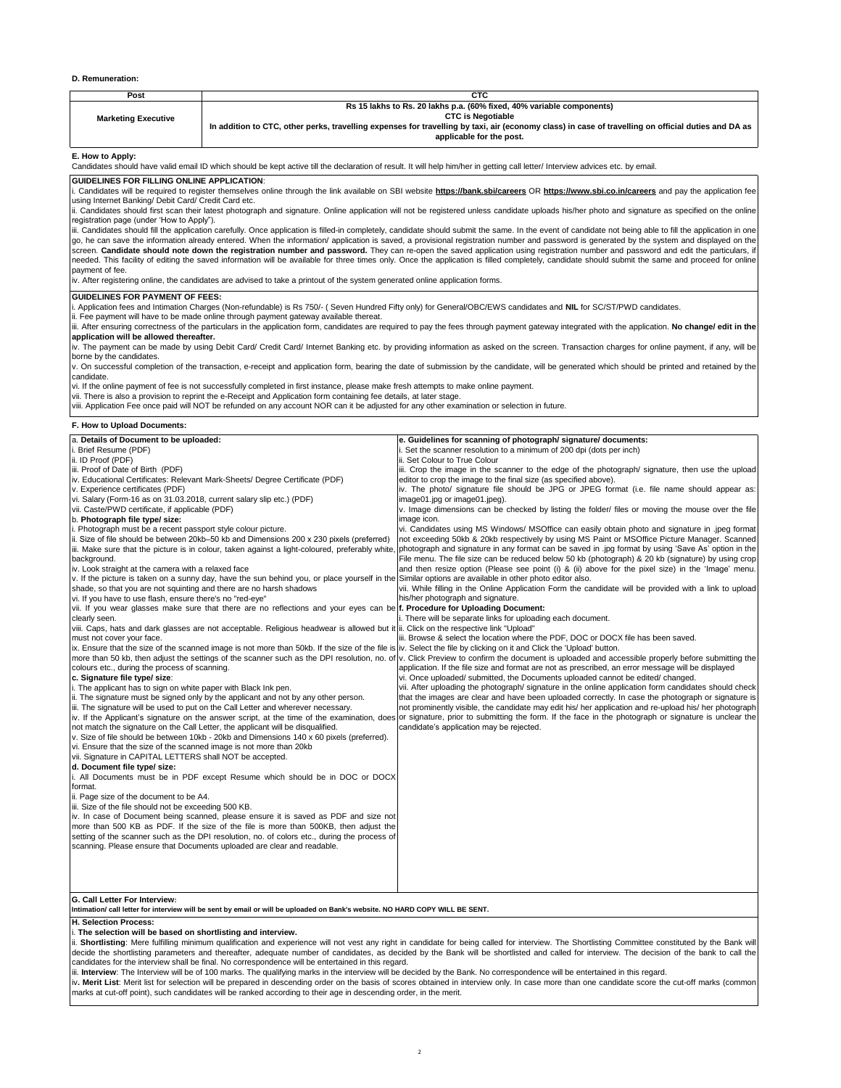### **D. Remuneration:**

| Post                                                                                                                                                                                                                                                                                                                                                                                                                                                                                                                                                                                                                                                                                                                                        |                                                                                                                                                                                                                                                                                                                                                                                                                                                           | <b>CTC</b>                                                                                                                                                                                                                                    |  |  |  |  |
|---------------------------------------------------------------------------------------------------------------------------------------------------------------------------------------------------------------------------------------------------------------------------------------------------------------------------------------------------------------------------------------------------------------------------------------------------------------------------------------------------------------------------------------------------------------------------------------------------------------------------------------------------------------------------------------------------------------------------------------------|-----------------------------------------------------------------------------------------------------------------------------------------------------------------------------------------------------------------------------------------------------------------------------------------------------------------------------------------------------------------------------------------------------------------------------------------------------------|-----------------------------------------------------------------------------------------------------------------------------------------------------------------------------------------------------------------------------------------------|--|--|--|--|
| <b>Marketing Executive</b>                                                                                                                                                                                                                                                                                                                                                                                                                                                                                                                                                                                                                                                                                                                  | Rs 15 lakhs to Rs. 20 lakhs p.a. (60% fixed, 40% variable components)<br><b>CTC is Negotiable</b><br>In addition to CTC, other perks, travelling expenses for travelling by taxi, air (economy class) in case of travelling on official duties and DA as<br>applicable for the post.                                                                                                                                                                      |                                                                                                                                                                                                                                               |  |  |  |  |
| E. How to Apply:<br>Candidates should have valid email ID which should be kept active till the declaration of result. It will help him/her in getting call letter/ Interview advices etc. by email.                                                                                                                                                                                                                                                                                                                                                                                                                                                                                                                                         |                                                                                                                                                                                                                                                                                                                                                                                                                                                           |                                                                                                                                                                                                                                               |  |  |  |  |
|                                                                                                                                                                                                                                                                                                                                                                                                                                                                                                                                                                                                                                                                                                                                             | GUIDELINES FOR FILLING ONLINE APPLICATION:                                                                                                                                                                                                                                                                                                                                                                                                                |                                                                                                                                                                                                                                               |  |  |  |  |
|                                                                                                                                                                                                                                                                                                                                                                                                                                                                                                                                                                                                                                                                                                                                             | i. Candidates will be required to register themselves online through the link available on SBI website https://bank.sbi/careers OR https://www.sbi.co.in/careers and pay the application fee<br>using Internet Banking/ Debit Card/ Credit Card etc.<br>ii. Candidates should first scan their latest photograph and signature. Online application will not be registered unless candidate uploads his/her photo and signature as specified on the online |                                                                                                                                                                                                                                               |  |  |  |  |
| registration page (under 'How to Apply").                                                                                                                                                                                                                                                                                                                                                                                                                                                                                                                                                                                                                                                                                                   |                                                                                                                                                                                                                                                                                                                                                                                                                                                           | iii. Candidates should fill the application carefully. Once application is filled-in completely, candidate should submit the same. In the event of candidate not being able to fill the application in one                                    |  |  |  |  |
| go, he can save the information already entered. When the information/ application is saved, a provisional registration number and password is generated by the system and displayed on the<br>screen. Candidate should note down the registration number and password. They can re-open the saved application using registration number and password and edit the particulars, if<br>needed. This facility of editing the saved information will be available for three times only. Once the application is filled completely, candidate should submit the same and proceed for online<br>payment of fee.<br>iv. After registering online, the candidates are advised to take a printout of the system generated online application forms. |                                                                                                                                                                                                                                                                                                                                                                                                                                                           |                                                                                                                                                                                                                                               |  |  |  |  |
| <b>GUIDELINES FOR PAYMENT OF FEES:</b>                                                                                                                                                                                                                                                                                                                                                                                                                                                                                                                                                                                                                                                                                                      |                                                                                                                                                                                                                                                                                                                                                                                                                                                           |                                                                                                                                                                                                                                               |  |  |  |  |
| i. Application fees and Intimation Charges (Non-refundable) is Rs 750/- (Seven Hundred Fifty only) for General/OBC/EWS candidates and NIL for SC/ST/PWD candidates.<br>ii. Fee payment will have to be made online through payment gateway available thereat.                                                                                                                                                                                                                                                                                                                                                                                                                                                                               |                                                                                                                                                                                                                                                                                                                                                                                                                                                           |                                                                                                                                                                                                                                               |  |  |  |  |
| application will be allowed thereafter.                                                                                                                                                                                                                                                                                                                                                                                                                                                                                                                                                                                                                                                                                                     |                                                                                                                                                                                                                                                                                                                                                                                                                                                           | iii. After ensuring correctness of the particulars in the application form, candidates are required to pay the fees through payment gateway integrated with the application. No change/ edit in the                                           |  |  |  |  |
| borne by the candidates.                                                                                                                                                                                                                                                                                                                                                                                                                                                                                                                                                                                                                                                                                                                    |                                                                                                                                                                                                                                                                                                                                                                                                                                                           | iv. The payment can be made by using Debit Card/ Credit Card/ Internet Banking etc. by providing information as asked on the screen. Transaction charges for online payment, if any, will be                                                  |  |  |  |  |
| candidate.                                                                                                                                                                                                                                                                                                                                                                                                                                                                                                                                                                                                                                                                                                                                  |                                                                                                                                                                                                                                                                                                                                                                                                                                                           | v. On successful completion of the transaction, e-receipt and application form, bearing the date of submission by the candidate, will be generated which should be printed and retained by the                                                |  |  |  |  |
|                                                                                                                                                                                                                                                                                                                                                                                                                                                                                                                                                                                                                                                                                                                                             | vi. If the online payment of fee is not successfully completed in first instance, please make fresh attempts to make online payment.                                                                                                                                                                                                                                                                                                                      |                                                                                                                                                                                                                                               |  |  |  |  |
|                                                                                                                                                                                                                                                                                                                                                                                                                                                                                                                                                                                                                                                                                                                                             | vii. There is also a provision to reprint the e-Receipt and Application form containing fee details, at later stage.<br>viii. Application Fee once paid will NOT be refunded on any account NOR can it be adjusted for any other examination or selection in future.                                                                                                                                                                                      |                                                                                                                                                                                                                                               |  |  |  |  |
| F. How to Upload Documents:                                                                                                                                                                                                                                                                                                                                                                                                                                                                                                                                                                                                                                                                                                                 |                                                                                                                                                                                                                                                                                                                                                                                                                                                           |                                                                                                                                                                                                                                               |  |  |  |  |
| a. Details of Document to be uploaded:                                                                                                                                                                                                                                                                                                                                                                                                                                                                                                                                                                                                                                                                                                      |                                                                                                                                                                                                                                                                                                                                                                                                                                                           | e. Guidelines for scanning of photograph/ signature/ documents:                                                                                                                                                                               |  |  |  |  |
| i. Brief Resume (PDF)                                                                                                                                                                                                                                                                                                                                                                                                                                                                                                                                                                                                                                                                                                                       |                                                                                                                                                                                                                                                                                                                                                                                                                                                           | i. Set the scanner resolution to a minimum of 200 dpi (dots per inch)                                                                                                                                                                         |  |  |  |  |
| ii. ID Proof (PDF)                                                                                                                                                                                                                                                                                                                                                                                                                                                                                                                                                                                                                                                                                                                          |                                                                                                                                                                                                                                                                                                                                                                                                                                                           | ii. Set Colour to True Colour                                                                                                                                                                                                                 |  |  |  |  |
| iii. Proof of Date of Birth (PDF)                                                                                                                                                                                                                                                                                                                                                                                                                                                                                                                                                                                                                                                                                                           |                                                                                                                                                                                                                                                                                                                                                                                                                                                           | iii. Crop the image in the scanner to the edge of the photograph/signature, then use the upload                                                                                                                                               |  |  |  |  |
|                                                                                                                                                                                                                                                                                                                                                                                                                                                                                                                                                                                                                                                                                                                                             | iv. Educational Certificates: Relevant Mark-Sheets/ Degree Certificate (PDF)                                                                                                                                                                                                                                                                                                                                                                              | editor to crop the image to the final size (as specified above).                                                                                                                                                                              |  |  |  |  |
| v. Experience certificates (PDF)                                                                                                                                                                                                                                                                                                                                                                                                                                                                                                                                                                                                                                                                                                            |                                                                                                                                                                                                                                                                                                                                                                                                                                                           | iv. The photo/ signature file should be JPG or JPEG format (i.e. file name should appear as:                                                                                                                                                  |  |  |  |  |
| vi. Salary (Form-16 as on 31.03.2018, current salary slip etc.) (PDF)                                                                                                                                                                                                                                                                                                                                                                                                                                                                                                                                                                                                                                                                       |                                                                                                                                                                                                                                                                                                                                                                                                                                                           | image01.jpg or image01.jpeg).                                                                                                                                                                                                                 |  |  |  |  |
| vii. Caste/PWD certificate, if applicable (PDF)                                                                                                                                                                                                                                                                                                                                                                                                                                                                                                                                                                                                                                                                                             |                                                                                                                                                                                                                                                                                                                                                                                                                                                           | v. Image dimensions can be checked by listing the folder/ files or moving the mouse over the file                                                                                                                                             |  |  |  |  |
| b. Photograph file type/ size:                                                                                                                                                                                                                                                                                                                                                                                                                                                                                                                                                                                                                                                                                                              |                                                                                                                                                                                                                                                                                                                                                                                                                                                           | image icon.                                                                                                                                                                                                                                   |  |  |  |  |
| i. Photograph must be a recent passport style colour picture.                                                                                                                                                                                                                                                                                                                                                                                                                                                                                                                                                                                                                                                                               |                                                                                                                                                                                                                                                                                                                                                                                                                                                           | vi. Candidates using MS Windows/ MSOffice can easily obtain photo and signature in .jpeg format                                                                                                                                               |  |  |  |  |
|                                                                                                                                                                                                                                                                                                                                                                                                                                                                                                                                                                                                                                                                                                                                             | ii. Size of file should be between 20kb-50 kb and Dimensions 200 x 230 pixels (preferred)                                                                                                                                                                                                                                                                                                                                                                 | not exceeding 50kb & 20kb respectively by using MS Paint or MSOffice Picture Manager. Scanned                                                                                                                                                 |  |  |  |  |
|                                                                                                                                                                                                                                                                                                                                                                                                                                                                                                                                                                                                                                                                                                                                             | iii. Make sure that the picture is in colour, taken against a light-coloured, preferably white,                                                                                                                                                                                                                                                                                                                                                           | photograph and signature in any format can be saved in .jpg format by using 'Save As' option in the                                                                                                                                           |  |  |  |  |
| background.                                                                                                                                                                                                                                                                                                                                                                                                                                                                                                                                                                                                                                                                                                                                 |                                                                                                                                                                                                                                                                                                                                                                                                                                                           | File menu. The file size can be reduced below 50 kb (photograph) & 20 kb (signature) by using crop                                                                                                                                            |  |  |  |  |
| iv. Look straight at the camera with a relaxed face                                                                                                                                                                                                                                                                                                                                                                                                                                                                                                                                                                                                                                                                                         |                                                                                                                                                                                                                                                                                                                                                                                                                                                           | and then resize option (Please see point (i) & (ii) above for the pixel size) in the 'Image' menu.                                                                                                                                            |  |  |  |  |
|                                                                                                                                                                                                                                                                                                                                                                                                                                                                                                                                                                                                                                                                                                                                             | v. If the picture is taken on a sunny day, have the sun behind you, or place yourself in the                                                                                                                                                                                                                                                                                                                                                              | Similar options are available in other photo editor also.                                                                                                                                                                                     |  |  |  |  |
| shade, so that you are not squinting and there are no harsh shadows                                                                                                                                                                                                                                                                                                                                                                                                                                                                                                                                                                                                                                                                         |                                                                                                                                                                                                                                                                                                                                                                                                                                                           | vii. While filling in the Online Application Form the candidate will be provided with a link to upload                                                                                                                                        |  |  |  |  |
| vi. If you have to use flash, ensure there's no "red-eye"                                                                                                                                                                                                                                                                                                                                                                                                                                                                                                                                                                                                                                                                                   |                                                                                                                                                                                                                                                                                                                                                                                                                                                           | his/her photograph and signature.                                                                                                                                                                                                             |  |  |  |  |
|                                                                                                                                                                                                                                                                                                                                                                                                                                                                                                                                                                                                                                                                                                                                             | vii. If you wear glasses make sure that there are no reflections and your eyes can be f. Procedure for Uploading Document:                                                                                                                                                                                                                                                                                                                                |                                                                                                                                                                                                                                               |  |  |  |  |
| clearly seen.                                                                                                                                                                                                                                                                                                                                                                                                                                                                                                                                                                                                                                                                                                                               |                                                                                                                                                                                                                                                                                                                                                                                                                                                           | i. There will be separate links for uploading each document.                                                                                                                                                                                  |  |  |  |  |
|                                                                                                                                                                                                                                                                                                                                                                                                                                                                                                                                                                                                                                                                                                                                             | viii. Caps, hats and dark glasses are not acceptable. Religious headwear is allowed but it ii. Click on the respective link "Upload"                                                                                                                                                                                                                                                                                                                      |                                                                                                                                                                                                                                               |  |  |  |  |
| must not cover your face.                                                                                                                                                                                                                                                                                                                                                                                                                                                                                                                                                                                                                                                                                                                   |                                                                                                                                                                                                                                                                                                                                                                                                                                                           | iii. Browse & select the location where the PDF, DOC or DOCX file has been saved.                                                                                                                                                             |  |  |  |  |
|                                                                                                                                                                                                                                                                                                                                                                                                                                                                                                                                                                                                                                                                                                                                             |                                                                                                                                                                                                                                                                                                                                                                                                                                                           | ix. Ensure that the size of the scanned image is not more than 50kb. If the size of the file is iv. Select the file by clicking on it and Click the 'Upload' button.                                                                          |  |  |  |  |
|                                                                                                                                                                                                                                                                                                                                                                                                                                                                                                                                                                                                                                                                                                                                             |                                                                                                                                                                                                                                                                                                                                                                                                                                                           | more than 50 kb, then adjust the settings of the scanner such as the DPI resolution, no. of v. Click Preview to confirm the document is uploaded and accessible properly before submitting the                                                |  |  |  |  |
| colours etc., during the process of scanning.                                                                                                                                                                                                                                                                                                                                                                                                                                                                                                                                                                                                                                                                                               |                                                                                                                                                                                                                                                                                                                                                                                                                                                           | application. If the file size and format are not as prescribed, an error message will be displayed                                                                                                                                            |  |  |  |  |
| c. Signature file type/ size:                                                                                                                                                                                                                                                                                                                                                                                                                                                                                                                                                                                                                                                                                                               |                                                                                                                                                                                                                                                                                                                                                                                                                                                           | vi. Once uploaded/ submitted, the Documents uploaded cannot be edited/ changed.                                                                                                                                                               |  |  |  |  |
| i. The applicant has to sign on white paper with Black Ink pen.                                                                                                                                                                                                                                                                                                                                                                                                                                                                                                                                                                                                                                                                             |                                                                                                                                                                                                                                                                                                                                                                                                                                                           | vii. After uploading the photograph/ signature in the online application form candidates should check                                                                                                                                         |  |  |  |  |
|                                                                                                                                                                                                                                                                                                                                                                                                                                                                                                                                                                                                                                                                                                                                             | ii. The signature must be signed only by the applicant and not by any other person.                                                                                                                                                                                                                                                                                                                                                                       | that the images are clear and have been uploaded correctly. In case the photograph or signature is                                                                                                                                            |  |  |  |  |
|                                                                                                                                                                                                                                                                                                                                                                                                                                                                                                                                                                                                                                                                                                                                             | iii. The signature will be used to put on the Call Letter and wherever necessary.                                                                                                                                                                                                                                                                                                                                                                         | not prominently visible, the candidate may edit his/ her application and re-upload his/ her photograph                                                                                                                                        |  |  |  |  |
|                                                                                                                                                                                                                                                                                                                                                                                                                                                                                                                                                                                                                                                                                                                                             | not match the signature on the Call Letter, the applicant will be disqualified.                                                                                                                                                                                                                                                                                                                                                                           | iv. If the Applicant's signature on the answer script, at the time of the examination, does or signature, prior to submitting the form. If the face in the photograph or signature is unclear the<br>candidate's application may be rejected. |  |  |  |  |
|                                                                                                                                                                                                                                                                                                                                                                                                                                                                                                                                                                                                                                                                                                                                             | v. Size of file should be between 10kb - 20kb and Dimensions 140 x 60 pixels (preferred).                                                                                                                                                                                                                                                                                                                                                                 |                                                                                                                                                                                                                                               |  |  |  |  |
| vi. Ensure that the size of the scanned image is not more than 20kb                                                                                                                                                                                                                                                                                                                                                                                                                                                                                                                                                                                                                                                                         |                                                                                                                                                                                                                                                                                                                                                                                                                                                           |                                                                                                                                                                                                                                               |  |  |  |  |
| vii. Signature in CAPITAL LETTERS shall NOT be accepted.                                                                                                                                                                                                                                                                                                                                                                                                                                                                                                                                                                                                                                                                                    |                                                                                                                                                                                                                                                                                                                                                                                                                                                           |                                                                                                                                                                                                                                               |  |  |  |  |
| d. Document file type/ size:                                                                                                                                                                                                                                                                                                                                                                                                                                                                                                                                                                                                                                                                                                                |                                                                                                                                                                                                                                                                                                                                                                                                                                                           |                                                                                                                                                                                                                                               |  |  |  |  |
|                                                                                                                                                                                                                                                                                                                                                                                                                                                                                                                                                                                                                                                                                                                                             | i. All Documents must be in PDF except Resume which should be in DOC or DOCX                                                                                                                                                                                                                                                                                                                                                                              |                                                                                                                                                                                                                                               |  |  |  |  |
| format.                                                                                                                                                                                                                                                                                                                                                                                                                                                                                                                                                                                                                                                                                                                                     |                                                                                                                                                                                                                                                                                                                                                                                                                                                           |                                                                                                                                                                                                                                               |  |  |  |  |
| ii. Page size of the document to be A4.                                                                                                                                                                                                                                                                                                                                                                                                                                                                                                                                                                                                                                                                                                     |                                                                                                                                                                                                                                                                                                                                                                                                                                                           |                                                                                                                                                                                                                                               |  |  |  |  |
| iii. Size of the file should not be exceeding 500 KB.                                                                                                                                                                                                                                                                                                                                                                                                                                                                                                                                                                                                                                                                                       |                                                                                                                                                                                                                                                                                                                                                                                                                                                           |                                                                                                                                                                                                                                               |  |  |  |  |
|                                                                                                                                                                                                                                                                                                                                                                                                                                                                                                                                                                                                                                                                                                                                             | iv. In case of Document being scanned, please ensure it is saved as PDF and size not                                                                                                                                                                                                                                                                                                                                                                      |                                                                                                                                                                                                                                               |  |  |  |  |
|                                                                                                                                                                                                                                                                                                                                                                                                                                                                                                                                                                                                                                                                                                                                             | more than 500 KB as PDF. If the size of the file is more than 500KB, then adjust the<br>setting of the scanner such as the DPI resolution, no. of colors etc., during the process of                                                                                                                                                                                                                                                                      |                                                                                                                                                                                                                                               |  |  |  |  |
|                                                                                                                                                                                                                                                                                                                                                                                                                                                                                                                                                                                                                                                                                                                                             | scanning. Please ensure that Documents uploaded are clear and readable.                                                                                                                                                                                                                                                                                                                                                                                   |                                                                                                                                                                                                                                               |  |  |  |  |
|                                                                                                                                                                                                                                                                                                                                                                                                                                                                                                                                                                                                                                                                                                                                             |                                                                                                                                                                                                                                                                                                                                                                                                                                                           |                                                                                                                                                                                                                                               |  |  |  |  |
|                                                                                                                                                                                                                                                                                                                                                                                                                                                                                                                                                                                                                                                                                                                                             |                                                                                                                                                                                                                                                                                                                                                                                                                                                           |                                                                                                                                                                                                                                               |  |  |  |  |
|                                                                                                                                                                                                                                                                                                                                                                                                                                                                                                                                                                                                                                                                                                                                             |                                                                                                                                                                                                                                                                                                                                                                                                                                                           |                                                                                                                                                                                                                                               |  |  |  |  |
| G. Call Letter For Interview:                                                                                                                                                                                                                                                                                                                                                                                                                                                                                                                                                                                                                                                                                                               | Intimation/ call letter for interview will be sent by email or will be uploaded on Bank's website. NO HARD COPY WILL BE SENT.                                                                                                                                                                                                                                                                                                                             |                                                                                                                                                                                                                                               |  |  |  |  |

**H. Selection Process:**

i. **The selection will be based on shortlisting and interview.** 

ii. Shortlisting: Mere fulfilling minimum qualification and experience will not vest any right in candidate for being called for interview. The Shortlisting Committee constituted by the Bank will<br>cardidates for the intervi

marks at cut-off point), such candidates will be ranked according to their age in descending order, in the merit.